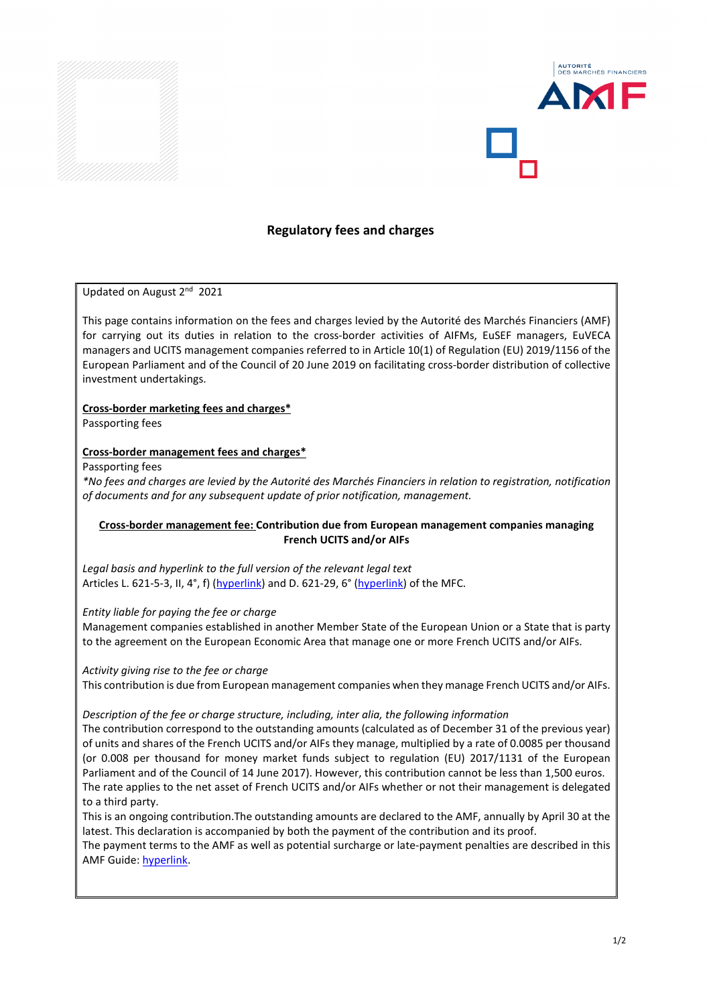



# **Regulatory fees and charges**

#### Updated on August 2nd 2021

This page contains information on the fees and charges levied by the Autorité des Marchés Financiers (AMF) for carrying out its duties in relation to the cross-border activities of AIFMs, EuSEF managers, EuVECA managers and UCITS management companies referred to in Article 10(1) of Regulation (EU) 2019/1156 of the European Parliament and of the Council of 20 June 2019 on facilitating cross-border distribution of collective investment undertakings.

#### **Cross-border marketing fees and charges\***

Passporting fees

#### **Cross-border management fees and charges\***

Passporting fees

*\*No fees and charges are levied by the Autorité des Marchés Financiers in relation to registration, notification of documents and for any subsequent update of prior notification, management.*

## **Cross-border management fee: Contribution due from European management companies managing French UCITS and/or AIFs**

*Legal basis and hyperlink to the full version of the relevant legal text* Articles L. 621-5-3, II, 4°, f) [\(hyperlink\)](https://www.legifrance.gouv.fr/codes/article_lc/LEGIARTI000042911408) and D. 621-29, 6° [\(hyperlink\)](https://www.legifrance.gouv.fr/codes/article_lc/LEGIARTI000042977487) of the MFC.

*Entity liable for paying the fee or charge*

Management companies established in another Member State of the European Union or a State that is party to the agreement on the European Economic Area that manage one or more French UCITS and/or AIFs.

*Activity giving rise to the fee or charge*

This contribution is due from European management companies when they manage French UCITS and/or AIFs.

#### *Description of the fee or charge structure, including, inter alia, the following information*

The contribution correspond to the outstanding amounts (calculated as of December 31 of the previous year) of units and shares of the French UCITS and/or AIFs they manage, multiplied by a rate of 0.0085 per thousand (or 0.008 per thousand for money market funds subject to regulation (EU) 2017/1131 of the European Parliament and of the Council of 14 June 2017). However, this contribution cannot be less than 1,500 euros. The rate applies to the net asset of French UCITS and/or AIFs whether or not their management is delegated to a third party.

This is an ongoing contribution.The outstanding amounts are declared to the AMF, annually by April 30 at the latest. This declaration is accompanied by both the payment of the contribution and its proof.

The payment terms to the AMF as well as potential surcharge or late-payment penalties are described in this AMF Guide[: hyperlink.](https://www.amf-france.org/en/news-publications/publications/professional-guides/fees-and-contributions-amf)